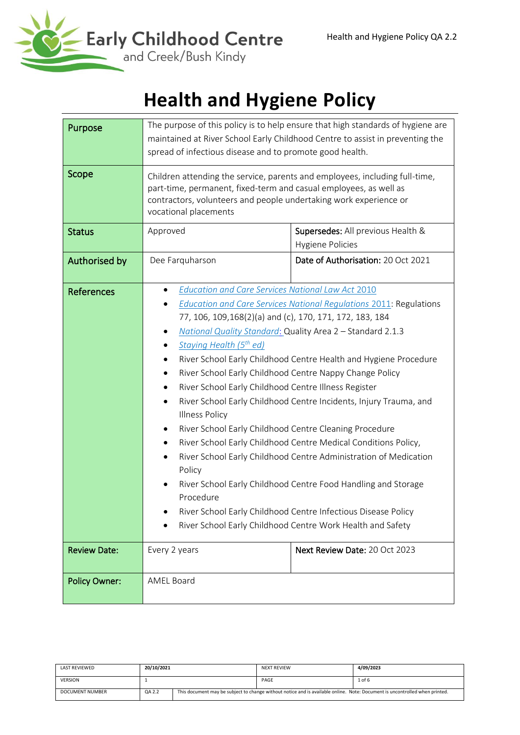

# **Health and Hygiene Policy**

| Purpose              | The purpose of this policy is to help ensure that high standards of hygiene are<br>maintained at River School Early Childhood Centre to assist in preventing the<br>spread of infectious disease and to promote good health.                                                                                                                                                                                                                                                                                                                                                                                                                                                                                                                                                                                                                                                                                                                                                                                                       |                                                       |  |  |
|----------------------|------------------------------------------------------------------------------------------------------------------------------------------------------------------------------------------------------------------------------------------------------------------------------------------------------------------------------------------------------------------------------------------------------------------------------------------------------------------------------------------------------------------------------------------------------------------------------------------------------------------------------------------------------------------------------------------------------------------------------------------------------------------------------------------------------------------------------------------------------------------------------------------------------------------------------------------------------------------------------------------------------------------------------------|-------------------------------------------------------|--|--|
| Scope                | Children attending the service, parents and employees, including full-time,<br>part-time, permanent, fixed-term and casual employees, as well as<br>contractors, volunteers and people undertaking work experience or<br>vocational placements                                                                                                                                                                                                                                                                                                                                                                                                                                                                                                                                                                                                                                                                                                                                                                                     |                                                       |  |  |
| <b>Status</b>        | Approved                                                                                                                                                                                                                                                                                                                                                                                                                                                                                                                                                                                                                                                                                                                                                                                                                                                                                                                                                                                                                           | Supersedes: All previous Health &<br>Hygiene Policies |  |  |
| Authorised by        | Dee Farquharson                                                                                                                                                                                                                                                                                                                                                                                                                                                                                                                                                                                                                                                                                                                                                                                                                                                                                                                                                                                                                    | Date of Authorisation: 20 Oct 2021                    |  |  |
| <b>References</b>    | Education and Care Services National Law Act 2010<br><b>Education and Care Services National Regulations 2011: Regulations</b><br>77, 106, 109, 168(2)(a) and (c), 170, 171, 172, 183, 184<br>National Quality Standard: Quality Area 2 - Standard 2.1.3<br>Staying Health (5 <sup>th</sup> ed)<br>River School Early Childhood Centre Health and Hygiene Procedure<br>River School Early Childhood Centre Nappy Change Policy<br>٠<br>River School Early Childhood Centre Illness Register<br>٠<br>River School Early Childhood Centre Incidents, Injury Trauma, and<br><b>Illness Policy</b><br>River School Early Childhood Centre Cleaning Procedure<br>River School Early Childhood Centre Medical Conditions Policy,<br>River School Early Childhood Centre Administration of Medication<br>$\bullet$<br>Policy<br>River School Early Childhood Centre Food Handling and Storage<br>Procedure<br>River School Early Childhood Centre Infectious Disease Policy<br>River School Early Childhood Centre Work Health and Safety |                                                       |  |  |
| <b>Review Date:</b>  | Every 2 years<br>Next Review Date: 20 Oct 2023                                                                                                                                                                                                                                                                                                                                                                                                                                                                                                                                                                                                                                                                                                                                                                                                                                                                                                                                                                                     |                                                       |  |  |
| <b>Policy Owner:</b> | <b>AMEL Board</b>                                                                                                                                                                                                                                                                                                                                                                                                                                                                                                                                                                                                                                                                                                                                                                                                                                                                                                                                                                                                                  |                                                       |  |  |

| <b>LAST REVIEWED</b>   | 20/10/2021 |                                                                                                                             | <b>NEXT REVIEW</b> | 4/09/2023 |
|------------------------|------------|-----------------------------------------------------------------------------------------------------------------------------|--------------------|-----------|
| <b>VERSION</b>         |            |                                                                                                                             | PAGE               | $1$ of 6  |
| <b>DOCUMENT NUMBER</b> | QA 2.2     | This document may be subject to change without notice and is available online. Note: Document is uncontrolled when printed. |                    |           |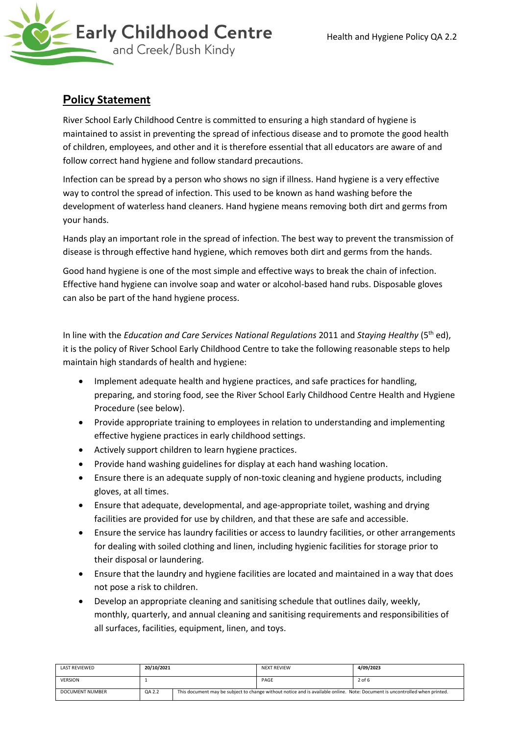

# **Policy Statement**

River School Early Childhood Centre is committed to ensuring a high standard of hygiene is maintained to assist in preventing the spread of infectious disease and to promote the good health of children, employees, and other and it is therefore essential that all educators are aware of and follow correct hand hygiene and follow standard precautions.

Infection can be spread by a person who shows no sign if illness. Hand hygiene is a very effective way to control the spread of infection. This used to be known as hand washing before the development of waterless hand cleaners. Hand hygiene means removing both dirt and germs from your hands.

Hands play an important role in the spread of infection. The best way to prevent the transmission of disease is through effective hand hygiene, which removes both dirt and germs from the hands.

Good hand hygiene is one of the most simple and effective ways to break the chain of infection. Effective hand hygiene can involve soap and water or alcohol-based hand rubs. Disposable gloves can also be part of the hand hygiene process.

In line with the *Education and Care Services National Regulations* 2011 and *Staying Healthy* (5th ed), it is the policy of River School Early Childhood Centre to take the following reasonable steps to help maintain high standards of health and hygiene:

- Implement adequate health and hygiene practices, and safe practices for handling, preparing, and storing food, see the River School Early Childhood Centre Health and Hygiene Procedure (see below).
- Provide appropriate training to employees in relation to understanding and implementing effective hygiene practices in early childhood settings.
- Actively support children to learn hygiene practices.
- Provide hand washing guidelines for display at each hand washing location.
- Ensure there is an adequate supply of non-toxic cleaning and hygiene products, including gloves, at all times.
- Ensure that adequate, developmental, and age-appropriate toilet, washing and drying facilities are provided for use by children, and that these are safe and accessible.
- Ensure the service has laundry facilities or access to laundry facilities, or other arrangements for dealing with soiled clothing and linen, including hygienic facilities for storage prior to their disposal or laundering.
- Ensure that the laundry and hygiene facilities are located and maintained in a way that does not pose a risk to children.
- Develop an appropriate cleaning and sanitising schedule that outlines daily, weekly, monthly, quarterly, and annual cleaning and sanitising requirements and responsibilities of all surfaces, facilities, equipment, linen, and toys.

| <b>LAST REVIEWED</b>   | 20/10/2021 |                                                                                                                             | NEXT REVIEW | 4/09/2023 |
|------------------------|------------|-----------------------------------------------------------------------------------------------------------------------------|-------------|-----------|
| <b>VERSION</b>         |            |                                                                                                                             | PAGE        | $2$ of 6  |
| <b>DOCUMENT NUMBER</b> | QA 2.2     | This document may be subject to change without notice and is available online. Note: Document is uncontrolled when printed. |             |           |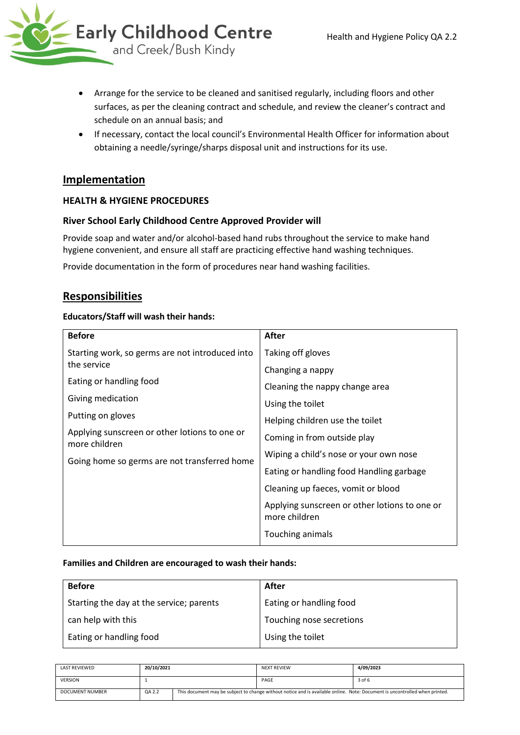- Arrange for the service to be cleaned and sanitised regularly, including floors and other surfaces, as per the cleaning contract and schedule, and review the cleaner's contract and schedule on an annual basis; and
- If necessary, contact the local council's Environmental Health Officer for information about obtaining a needle/syringe/sharps disposal unit and instructions for its use.

## **Implementation**

### **HEALTH & HYGIENE PROCEDURES**

### **River School Early Childhood Centre Approved Provider will**

Provide soap and water and/or alcohol-based hand rubs throughout the service to make hand hygiene convenient, and ensure all staff are practicing effective hand washing techniques.

Provide documentation in the form of procedures near hand washing facilities.

## **Responsibilities**

#### **Educators/Staff will wash their hands:**

| <b>Before</b>                                                  | <b>After</b>                                                   |  |  |
|----------------------------------------------------------------|----------------------------------------------------------------|--|--|
| Starting work, so germs are not introduced into                | Taking off gloves                                              |  |  |
| the service                                                    | Changing a nappy                                               |  |  |
| Eating or handling food                                        | Cleaning the nappy change area                                 |  |  |
| Giving medication                                              | Using the toilet                                               |  |  |
| Putting on gloves                                              | Helping children use the toilet                                |  |  |
| Applying sunscreen or other lotions to one or<br>more children | Coming in from outside play                                    |  |  |
| Going home so germs are not transferred home                   | Wiping a child's nose or your own nose                         |  |  |
|                                                                | Eating or handling food Handling garbage                       |  |  |
|                                                                | Cleaning up faeces, vomit or blood                             |  |  |
|                                                                | Applying sunscreen or other lotions to one or<br>more children |  |  |
|                                                                | Touching animals                                               |  |  |

#### **Families and Children are encouraged to wash their hands:**

| <b>Before</b>                            | After                    |
|------------------------------------------|--------------------------|
| Starting the day at the service; parents | Eating or handling food  |
| can help with this                       | Touching nose secretions |
| Eating or handling food                  | Using the toilet         |

| <b>LAST REVIEWED</b>   | 20/10/2021 |  | <b>NEXT REVIEW</b> | 4/09/2023                                                                                                                   |
|------------------------|------------|--|--------------------|-----------------------------------------------------------------------------------------------------------------------------|
| <b>VERSION</b>         |            |  | PAGE               | 3 of 6                                                                                                                      |
| <b>DOCUMENT NUMBER</b> | QA 2.2     |  |                    | This document may be subject to change without notice and is available online. Note: Document is uncontrolled when printed. |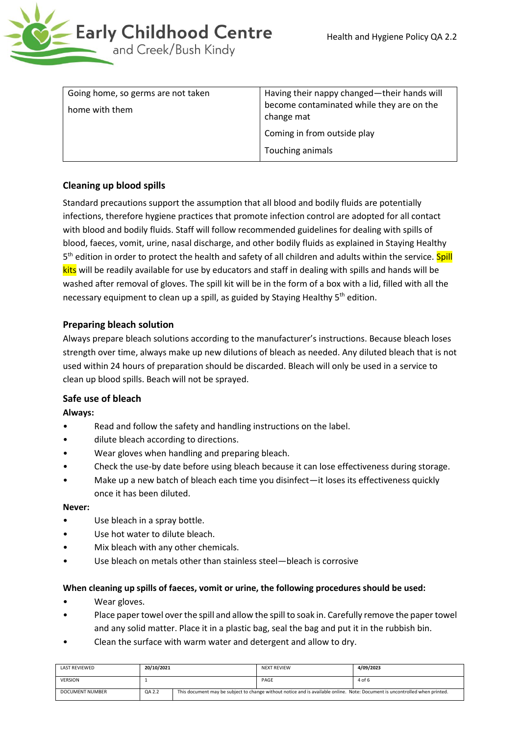

| home with them | Having their nappy changed—their hands will<br>become contaminated while they are on the<br>change mat |  |
|----------------|--------------------------------------------------------------------------------------------------------|--|
|                | Coming in from outside play<br>Touching animals                                                        |  |

## **Cleaning up blood spills**

Standard precautions support the assumption that all blood and bodily fluids are potentially infections, therefore hygiene practices that promote infection control are adopted for all contact with blood and bodily fluids. Staff will follow recommended guidelines for dealing with spills of blood, faeces, vomit, urine, nasal discharge, and other bodily fluids as explained in Staying Healthy 5<sup>th</sup> edition in order to protect the health and safety of all children and adults within the service. <mark>Spill</mark> kits will be readily available for use by educators and staff in dealing with spills and hands will be washed after removal of gloves. The spill kit will be in the form of a box with a lid, filled with all the necessary equipment to clean up a spill, as guided by Staying Healthy 5<sup>th</sup> edition.

## **Preparing bleach solution**

Always prepare bleach solutions according to the manufacturer's instructions. Because bleach loses strength over time, always make up new dilutions of bleach as needed. Any diluted bleach that is not used within 24 hours of preparation should be discarded. Bleach will only be used in a service to clean up blood spills. Beach will not be sprayed.

### **Safe use of bleach**

### **Always:**

- Read and follow the safety and handling instructions on the label.
- dilute bleach according to directions.
- Wear gloves when handling and preparing bleach.
- Check the use-by date before using bleach because it can lose effectiveness during storage.
- Make up a new batch of bleach each time you disinfect—it loses its effectiveness quickly once it has been diluted.

#### **Never:**

- Use bleach in a spray bottle.
- Use hot water to dilute bleach.
- Mix bleach with any other chemicals.
- Use bleach on metals other than stainless steel—bleach is corrosive

#### **When cleaning up spills of faeces, vomit or urine, the following procedures should be used:**

- Wear gloves.
- Place paper towel over the spill and allow the spill to soak in. Carefully remove the paper towel and any solid matter. Place it in a plastic bag, seal the bag and put it in the rubbish bin.
- Clean the surface with warm water and detergent and allow to dry.

| <b>LAST REVIEWED</b>   | 20/10/2021 |                                                                                                                             | <b>NEXT REVIEW</b> | 4/09/2023 |
|------------------------|------------|-----------------------------------------------------------------------------------------------------------------------------|--------------------|-----------|
| <b>VERSION</b>         |            |                                                                                                                             | PAGE               | 4 of 6    |
| <b>DOCUMENT NUMBER</b> | QA 2.2     | This document may be subject to change without notice and is available online. Note: Document is uncontrolled when printed. |                    |           |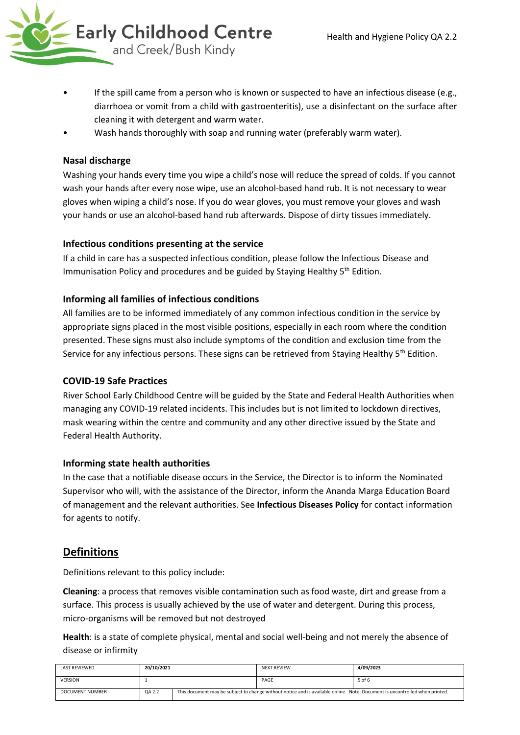

- If the spill came from a person who is known or suspected to have an infectious disease (e.g., diarrhoea or vomit from a child with gastroenteritis), use a disinfectant on the surface after cleaning it with detergent and warm water.
- Wash hands thoroughly with soap and running water (preferably warm water).

## **Nasal discharge**

Washing your hands every time you wipe a child's nose will reduce the spread of colds. If you cannot wash your hands after every nose wipe, use an alcohol-based hand rub. It is not necessary to wear gloves when wiping a child's nose. If you do wear gloves, you must remove your gloves and wash your hands or use an alcohol-based hand rub afterwards. Dispose of dirty tissues immediately.

## **Infectious conditions presenting at the service**

If a child in care has a suspected infectious condition, please follow the Infectious Disease and Immunisation Policy and procedures and be guided by Staying Healthy 5<sup>th</sup> Edition.

## **Informing all families of infectious conditions**

All families are to be informed immediately of any common infectious condition in the service by appropriate signs placed in the most visible positions, especially in each room where the condition presented. These signs must also include symptoms of the condition and exclusion time from the Service for any infectious persons. These signs can be retrieved from Staying Healthy 5<sup>th</sup> Edition.

### **COVID-19 Safe Practices**

River School Early Childhood Centre will be guided by the State and Federal Health Authorities when managing any COVID-19 related incidents. This includes but is not limited to lockdown directives, mask wearing within the centre and community and any other directive issued by the State and Federal Health Authority.

### **Informing state health authorities**

In the case that a notifiable disease occurs in the Service, the Director is to inform the Nominated Supervisor who will, with the assistance of the Director, inform the Ananda Marga Education Board of management and the relevant authorities. See **Infectious Diseases Policy** for contact information for agents to notify.

# **Definitions**

Definitions relevant to this policy include:

**Cleaning**: a process that removes visible contamination such as food waste, dirt and grease from a surface. This process is usually achieved by the use of water and detergent. During this process, micro-organisms will be removed but not destroyed

**Health**: is a state of complete physical, mental and social well-being and not merely the absence of disease or infirmity

| LAST REVIEWED   | 20/10/2021 |                                                                                                                             | <b>NEXT REVIEW</b> | 4/09/2023 |
|-----------------|------------|-----------------------------------------------------------------------------------------------------------------------------|--------------------|-----------|
| <b>VERSION</b>  |            |                                                                                                                             | PAGE               | 5 of 6    |
| DOCUMENT NUMBER | QA 2.2     | This document may be subject to change without notice and is available online. Note: Document is uncontrolled when printed. |                    |           |